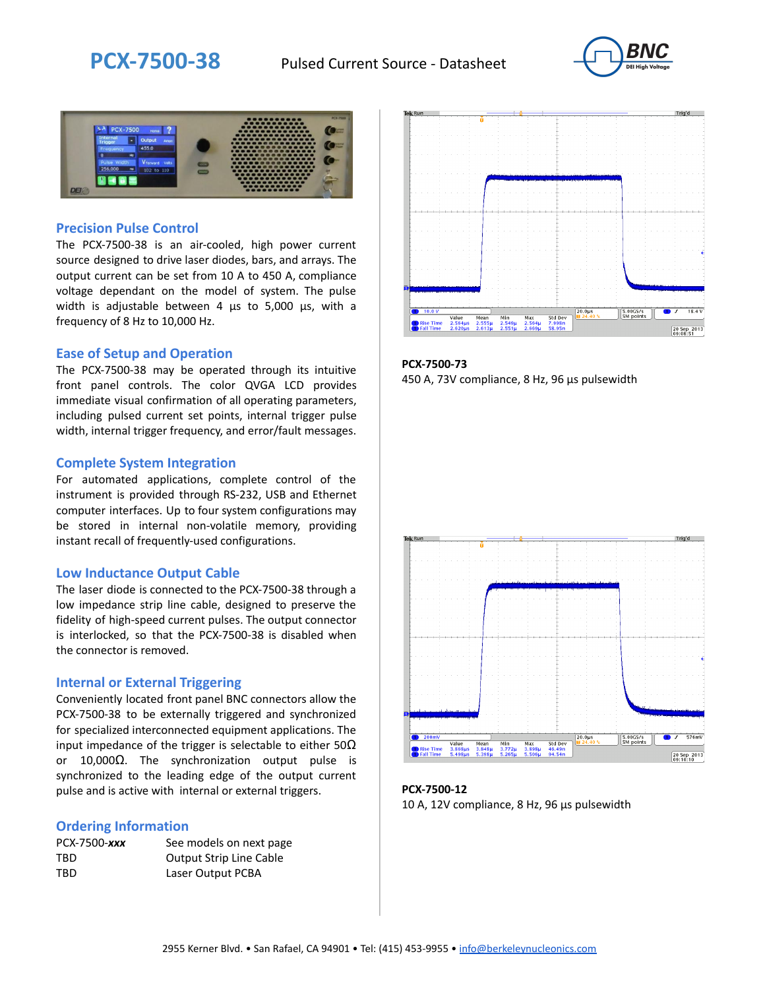



#### **Precision Pulse Control**

The PCX-7500-38 is an air-cooled, high power current source designed to drive laser diodes, bars, and arrays. The output current can be set from 10 A to 450 A, compliance voltage dependant on the model of system. The pulse width is adjustable between 4 µs to 5,000 µs, with a frequency of 8 Hz to 10,000 Hz.

#### **Ease of Setup and Operation**

The PCX-7500-38 may be operated through its intuitive front panel controls. The color QVGA LCD provides immediate visual confirmation of all operating parameters, including pulsed current set points, internal trigger pulse width, internal trigger frequency, and error/fault messages.

#### **Complete System Integration**

For automated applications, complete control of the instrument is provided through RS-232, USB and Ethernet computer interfaces. Up to four system configurations may be stored in internal non-volatile memory, providing instant recall of frequently-used configurations.

#### **Low Inductance Output Cable**

The laser diode is connected to the PCX-7500-38 through a low impedance strip line cable, designed to preserve the fidelity of high-speed current pulses. The output connector is interlocked, so that the PCX-7500-38 is disabled when the connector is removed.

#### **Internal or External Triggering**

Conveniently located front panel BNC connectors allow the PCX-7500-38 to be externally triggered and synchronized for specialized interconnected equipment applications. The input impedance of the trigger is selectable to either  $50\Omega$ or 10,000Ω. The synchronization output pulse is synchronized to the leading edge of the output current pulse and is active with internal or external triggers.

#### **Ordering Information**

| PCX-7500-xxx | See models on next page        |
|--------------|--------------------------------|
| TBD          | <b>Output Strip Line Cable</b> |
| TBD          | Laser Output PCBA              |



**PCX-7500-73** 450 A, 73V compliance, 8 Hz, 96 µs pulsewidth



**PCX-7500-12** 10 A, 12V compliance, 8 Hz, 96 μs pulsewidth